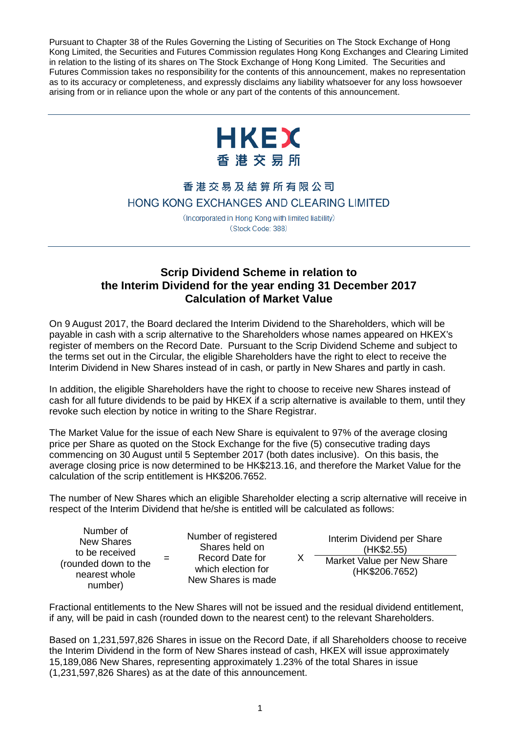Pursuant to Chapter 38 of the Rules Governing the Listing of Securities on The Stock Exchange of Hong Kong Limited, the Securities and Futures Commission regulates Hong Kong Exchanges and Clearing Limited in relation to the listing of its shares on The Stock Exchange of Hong Kong Limited. The Securities and Futures Commission takes no responsibility for the contents of this announcement, makes no representation as to its accuracy or completeness, and expressly disclaims any liability whatsoever for any loss howsoever arising from or in reliance upon the whole or any part of the contents of this announcement.



## 香港交易及結算所有限公司 HONG KONG EXCHANGES AND CLEARING LIMITED

(Incorporated in Hong Kong with limited liability) (Stock Code: 388)

## **Scrip Dividend Scheme in relation to the Interim Dividend for the year ending 31 December 2017 Calculation of Market Value**

On 9 August 2017, the Board declared the Interim Dividend to the Shareholders, which will be payable in cash with a scrip alternative to the Shareholders whose names appeared on HKEX's register of members on the Record Date. Pursuant to the Scrip Dividend Scheme and subject to the terms set out in the Circular, the eligible Shareholders have the right to elect to receive the Interim Dividend in New Shares instead of in cash, or partly in New Shares and partly in cash.

In addition, the eligible Shareholders have the right to choose to receive new Shares instead of cash for all future dividends to be paid by HKEX if a scrip alternative is available to them, until they revoke such election by notice in writing to the Share Registrar.

The Market Value for the issue of each New Share is equivalent to 97% of the average closing price per Share as quoted on the Stock Exchange for the five (5) consecutive trading days commencing on 30 August until 5 September 2017 (both dates inclusive). On this basis, the average closing price is now determined to be HK\$213.16, and therefore the Market Value for the calculation of the scrip entitlement is HK\$206.7652.

The number of New Shares which an eligible Shareholder electing a scrip alternative will receive in respect of the Interim Dividend that he/she is entitled will be calculated as follows:

X

Number of New Shares to be received (rounded down to the nearest whole number)

=

Number of registered Shares held on Record Date for which election for New Shares is made

Interim Dividend per Share (HK\$2.55) Market Value per New Share

(HK\$206.7652)

Fractional entitlements to the New Shares will not be issued and the residual dividend entitlement, if any, will be paid in cash (rounded down to the nearest cent) to the relevant Shareholders.

Based on 1,231,597,826 Shares in issue on the Record Date, if all Shareholders choose to receive the Interim Dividend in the form of New Shares instead of cash, HKEX will issue approximately 15,189,086 New Shares, representing approximately 1.23% of the total Shares in issue (1,231,597,826 Shares) as at the date of this announcement.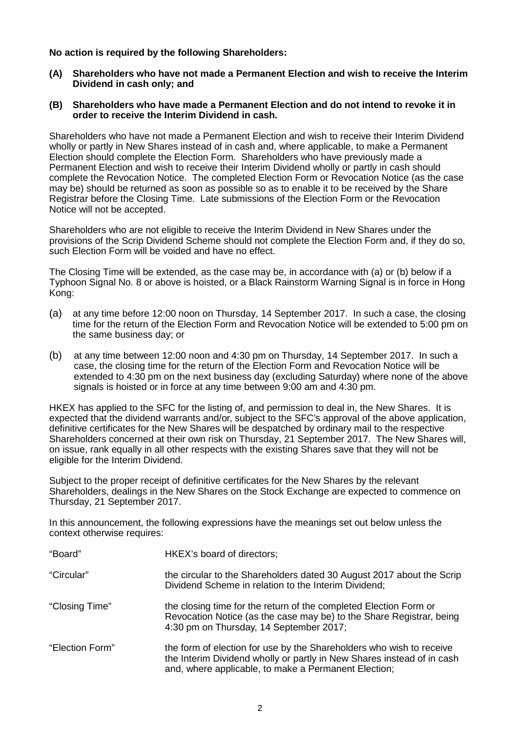**No action is required by the following Shareholders:**

- **(A) Shareholders who have not made a Permanent Election and wish to receive the Interim Dividend in cash only; and**
- **(B) Shareholders who have made a Permanent Election and do not intend to revoke it in order to receive the Interim Dividend in cash.**

Shareholders who have not made a Permanent Election and wish to receive their Interim Dividend wholly or partly in New Shares instead of in cash and, where applicable, to make a Permanent Election should complete the Election Form. Shareholders who have previously made a Permanent Election and wish to receive their Interim Dividend wholly or partly in cash should complete the Revocation Notice. The completed Election Form or Revocation Notice (as the case may be) should be returned as soon as possible so as to enable it to be received by the Share Registrar before the Closing Time. Late submissions of the Election Form or the Revocation Notice will not be accepted.

Shareholders who are not eligible to receive the Interim Dividend in New Shares under the provisions of the Scrip Dividend Scheme should not complete the Election Form and, if they do so, such Election Form will be voided and have no effect.

The Closing Time will be extended, as the case may be, in accordance with (a) or (b) below if a Typhoon Signal No. 8 or above is hoisted, or a Black Rainstorm Warning Signal is in force in Hong Kong:

- (a) at any time before 12:00 noon on Thursday, 14 September 2017. In such a case, the closing time for the return of the Election Form and Revocation Notice will be extended to 5:00 pm on the same business day; or
- (b) at any time between 12:00 noon and 4:30 pm on Thursday, 14 September 2017. In such a case, the closing time for the return of the Election Form and Revocation Notice will be extended to 4:30 pm on the next business day (excluding Saturday) where none of the above signals is hoisted or in force at any time between 9:00 am and 4:30 pm.

HKEX has applied to the SFC for the listing of, and permission to deal in, the New Shares. It is expected that the dividend warrants and/or, subject to the SFC's approval of the above application, definitive certificates for the New Shares will be despatched by ordinary mail to the respective Shareholders concerned at their own risk on Thursday, 21 September 2017. The New Shares will, on issue, rank equally in all other respects with the existing Shares save that they will not be eligible for the Interim Dividend.

Subject to the proper receipt of definitive certificates for the New Shares by the relevant Shareholders, dealings in the New Shares on the Stock Exchange are expected to commence on Thursday, 21 September 2017.

In this announcement, the following expressions have the meanings set out below unless the context otherwise requires:

| "Board"         | HKEX's board of directors;                                                                                                                                                                             |
|-----------------|--------------------------------------------------------------------------------------------------------------------------------------------------------------------------------------------------------|
| "Circular"      | the circular to the Shareholders dated 30 August 2017 about the Scrip<br>Dividend Scheme in relation to the Interim Dividend;                                                                          |
| "Closing Time"  | the closing time for the return of the completed Election Form or<br>Revocation Notice (as the case may be) to the Share Registrar, being<br>4:30 pm on Thursday, 14 September 2017;                   |
| "Election Form" | the form of election for use by the Shareholders who wish to receive<br>the Interim Dividend wholly or partly in New Shares instead of in cash<br>and, where applicable, to make a Permanent Election; |